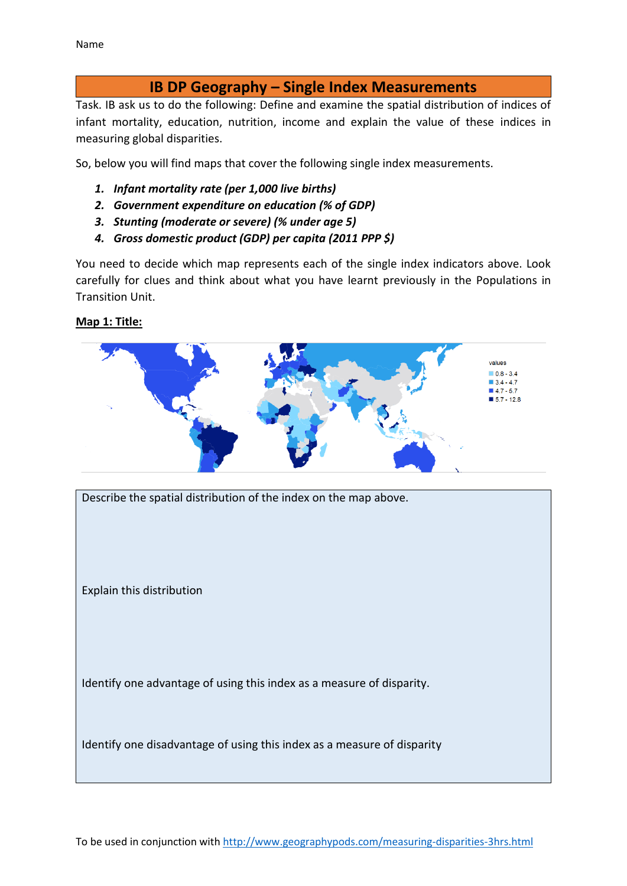# **IB DP Geography – Single Index Measurements**

Task. IB ask us to do the following: Define and examine the spatial distribution of indices of infant mortality, education, nutrition, income and explain the value of these indices in measuring global disparities.

So, below you will find maps that cover the following single index measurements.

- *1. Infant mortality rate (per 1,000 live births)*
- *2. Government expenditure on education (% of GDP)*
- *3. Stunting (moderate or severe) (% under age 5)*
- *4. Gross domestic product (GDP) per capita (2011 PPP \$)*

You need to decide which map represents each of the single index indicators above. Look carefully for clues and think about what you have learnt previously in the Populations in Transition Unit.

## **Map 1: Title:**



Describe the spatial distribution of the index on the map above.

Explain this distribution

Identify one advantage of using this index as a measure of disparity.

Identify one disadvantage of using this index as a measure of disparity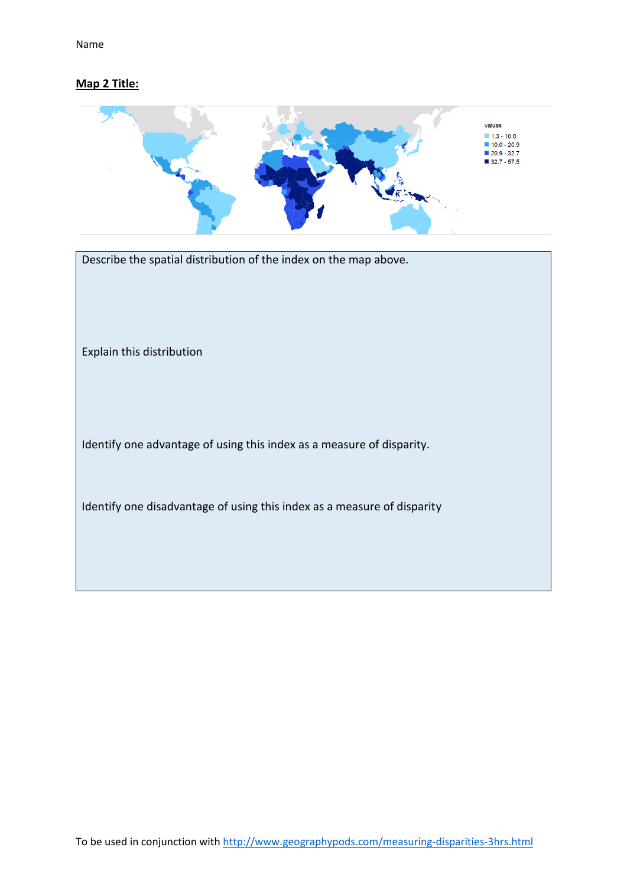## **Map 2 Title:**



| Describe the spatial distribution of the index on the map above.        |
|-------------------------------------------------------------------------|
| Explain this distribution                                               |
| Identify one advantage of using this index as a measure of disparity.   |
| Identify one disadvantage of using this index as a measure of disparity |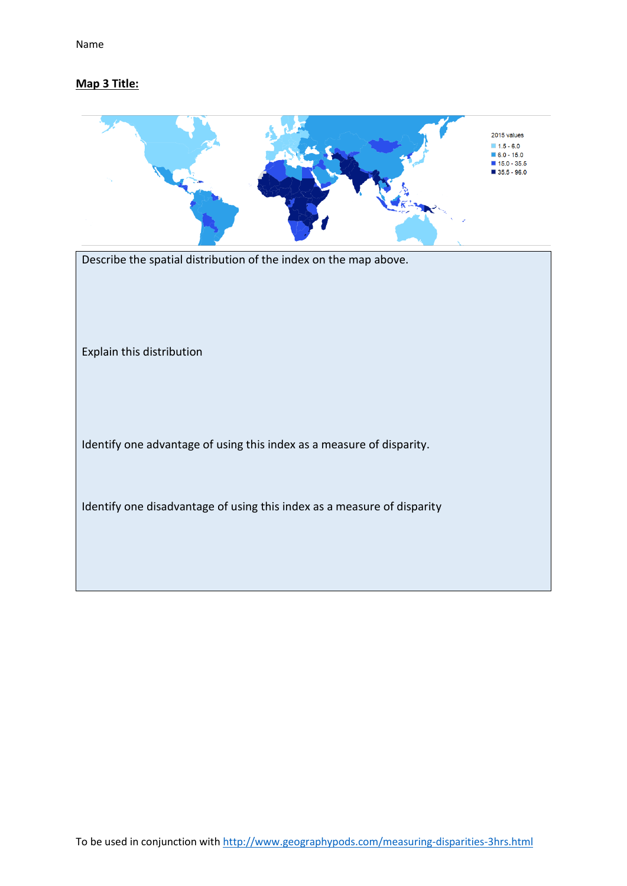## **Map 3 Title:**

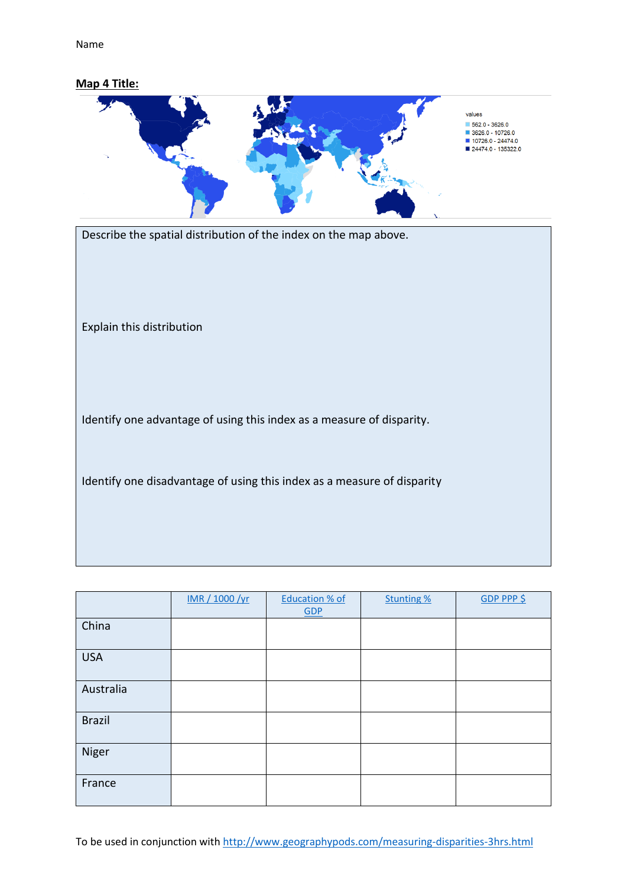Name

#### **Map 4 Title:**



Describe the spatial distribution of the index on the map above.

Explain this distribution

Identify one advantage of using this index as a measure of disparity.

Identify one disadvantage of using this index as a measure of disparity

|               | IMR / 1000 /yr | <b>Education % of</b><br>GDP | <b>Stunting %</b> | GDP PPP \$ |
|---------------|----------------|------------------------------|-------------------|------------|
| China         |                |                              |                   |            |
| <b>USA</b>    |                |                              |                   |            |
| Australia     |                |                              |                   |            |
| <b>Brazil</b> |                |                              |                   |            |
| Niger         |                |                              |                   |            |
| France        |                |                              |                   |            |

To be used in conjunction wit[h http://www.geographypods.com/measuring-disparities-3hrs.html](http://www.geographypods.com/measuring-disparities-3hrs.html)